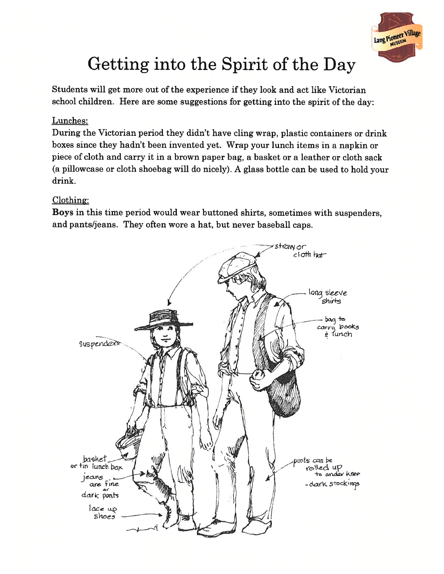

## Getting into the Spirit of the Day

Students will ge<sup>t</sup> more out of the experience if they look and act like Victorian school children. Here are some suggestions for getting into the spirit of the day:

## Lunches:

During the Victorian period they didn't have cling wrap, plastic containers or drink boxes since they hadn't been invented yet. Wrap your lunch items in <sup>a</sup> napkin or piece of cloth and carry it in <sup>a</sup> brown paper bag, <sup>a</sup> basket or <sup>a</sup> leather or cloth sack (a <sup>p</sup>illowcase or cloth shoebag will do nicely). <sup>A</sup> <sup>g</sup>lass bottle can be used to hold your drink.

## Clothing:

Boys in this time period would wear buttoned shirts, sometimes with suspenders, and pants/jeans. They often wore <sup>a</sup> hat, but never baseball caps.

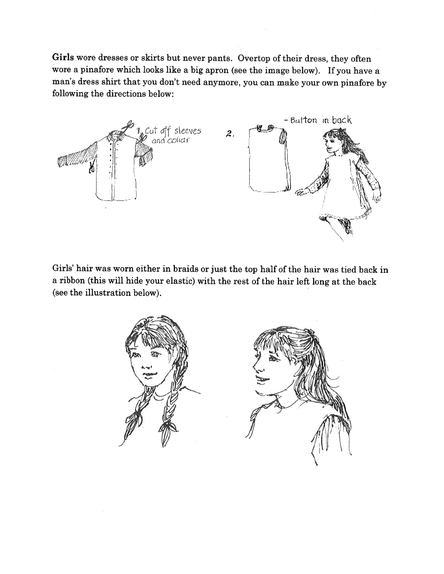Girls wore dresses or skirts but never pants. Overtop of their dress, they often wore <sup>a</sup> <sup>p</sup>inafore which looks like <sup>a</sup> big apron (see the image below). If you have <sup>a</sup> man's dress shirt that you don't need anymore, you can make your own <sup>p</sup>inafore by following the directions below:



Girls' hair was worn either in braids or just the top half of the hair was tied back in <sup>a</sup> ribbon (this will hide your elastic) with the rest of the hair left long at the back (see the illustration below).